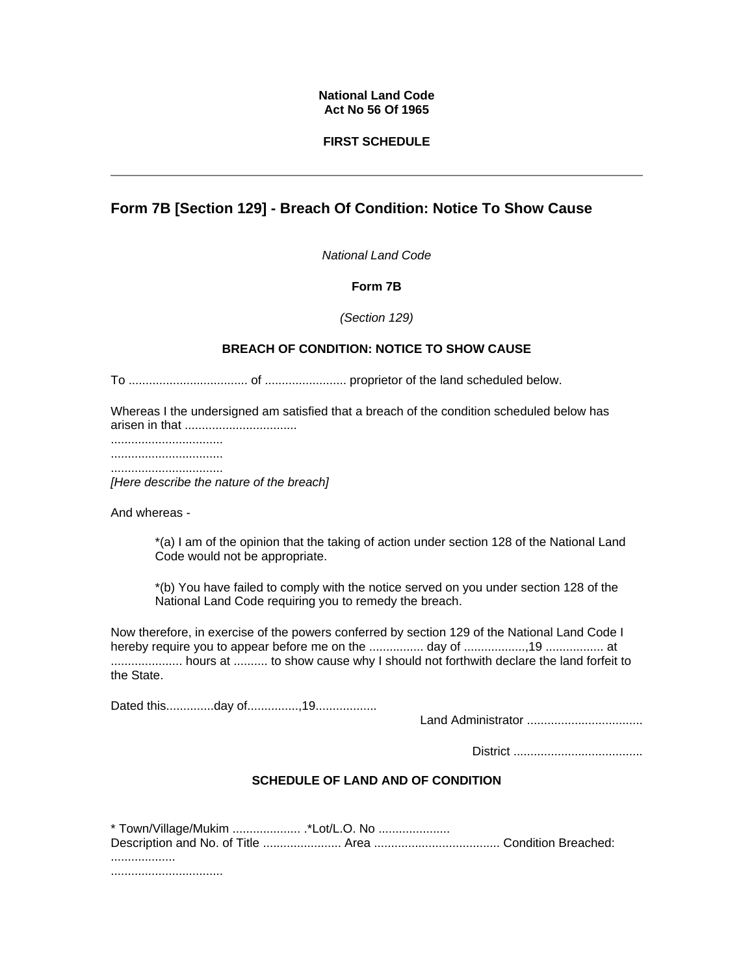#### **National Land Code Act No 56 Of 1965**

### **FIRST SCHEDULE**

# **Form 7B [Section 129] - Breach Of Condition: Notice To Show Cause**

*National Land Code* 

### **Form 7B**

*(Section 129)*

# **BREACH OF CONDITION: NOTICE TO SHOW CAUSE**

To ................................... of ........................ proprietor of the land scheduled below.

Whereas I the undersigned am satisfied that a breach of the condition scheduled below has arisen in that .................................

.................................

................................. .................................

*[Here describe the nature of the breach]*

And whereas -

\*(a) I am of the opinion that the taking of action under section 128 of the National Land Code would not be appropriate.

\*(b) You have failed to comply with the notice served on you under section 128 of the National Land Code requiring you to remedy the breach.

Now therefore, in exercise of the powers conferred by section 129 of the National Land Code I hereby require you to appear before me on the ................ day of ..................,19 ................. at ..................... hours at .......... to show cause why I should not forthwith declare the land forfeit to the State.

Dated this..............day of...............,19..................

Land Administrator ..................................

District ......................................

# **SCHEDULE OF LAND AND OF CONDITION**

| * Town/Village/Mukim *Lot/L.O. No |  |
|-----------------------------------|--|
|                                   |  |
|                                   |  |

.................................